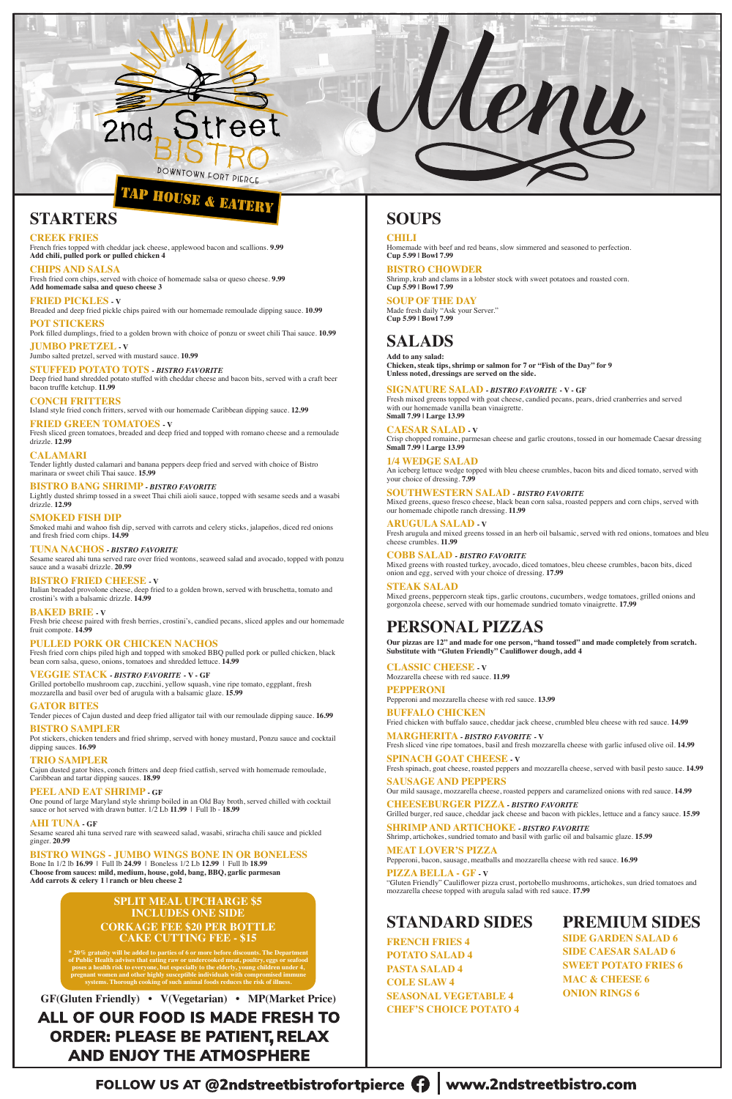

# **TAP HOUSE & EATERY**

**STARTERS**

**CREEK FRIES**

French fries topped with cheddar jack cheese, applewood bacon and scallions. **9.99 Add chili, pulled pork or pulled chicken 4**

**CHIPS AND SALSA** Fresh fried corn chips, served with choice of homemade salsa or queso cheese. **9.99 Add homemade salsa and queso cheese 3**

**FRIED PICKLES - V** Breaded and deep fried pickle chips paired with our homemade remoulade dipping sauce. **10.99**

**POT STICKERS** Pork filled dumplings, fried to a golden brown with choice of ponzu or sweet chili Thai sauce. **10.99**

**JUMBO PRETZEL - V** Jumbo salted pretzel, served with mustard sauce. **10.99**

**STUFFED POTATO TOTS** *- BISTRO FAVORITE* Deep fried hand shredded potato stuffed with cheddar cheese and bacon bits, served with a craft beer bacon truffle ketchup. **11.99**

**CONCH FRITTERS** Island style fried conch fritters, served with our homemade Caribbean dipping sauce. **12.99**

**FRIED GREEN TOMATOES - V** Fresh sliced green tomatoes, breaded and deep fried and topped with romano cheese and a remoulade drizzle. **12.99**

**CALAMARI** Tender lightly dusted calamari and banana peppers deep fried and served with choice of Bistro marinara or sweet chili Thai sauce. **15.99**

### **BISTRO BANG SHRIMP** *- BISTRO FAVORITE*

Lightly dusted shrimp tossed in a sweet Thai chili aioli sauce, topped with sesame seeds and a wasabi drizzle. **12.99**

**SMOKED FISH DIP** Smoked mahi and wahoo fish dip, served with carrots and celery sticks, jalapeños, diced red onions and fresh fried corn chips. **14.99**

**TUNA NACHOS** *- BISTRO FAVORITE* Sesame seared ahi tuna served rare over fried wontons, seaweed salad and avocado, topped with ponzu sauce and a wasabi drizzle. **20.99**

**BISTRO FRIED CHEESE - V** Italian breaded provolone cheese, deep fried to a golden brown, served with bruschetta, tomato and crostini's with a balsamic drizzle. **14.99**

**BAKED BRIE - V**

Fresh brie cheese paired with fresh berries, crostini's, candied pecans, sliced apples and our homemade fruit compote. **14.99**

### **PULLED PORK OR CHICKEN NACHOS**

Fresh fried corn chips piled high and topped with smoked BBQ pulled pork or pulled chicken, black bean corn salsa, queso, onions, tomatoes and shredded lettuce. **14.99**

**VEGGIE STACK** *- BISTRO FAVORITE* **- V - GF**

Grilled portobello mushroom cap, zucchini, yellow squash, vine ripe tomato, eggplant, fresh mozzarella and basil over bed of arugula with a balsamic glaze. **15.99**

### **GATOR BITES**

Tender pieces of Cajun dusted and deep fried alligator tail with our remoulade dipping sauce. **16.99**

### **BISTRO SAMPLER**

Pot stickers, chicken tenders and fried shrimp, served with honey mustard, Ponzu sauce and cocktail dipping sauces. **16.99**

**TRIO SAMPLER**

Cajun dusted gator bites, conch fritters and deep fried catfish, served with homemade remoulade, Caribbean and tartar dipping sauces. **18.99**

#### **PEEL AND EAT SHRIMP - GF**

One pound of large Maryland style shrimp boiled in an Old Bay broth, served chilled with cocktail sauce or hot served with drawn butter. 1/2 Lb **11.99** | Full lb - **18.99**

#### **AHI TUNA - GF**

Sesame seared ahi tuna served rare with seaweed salad, wasabi, sriracha chili sauce and pickled ginger. **20.99**

#### **BISTRO WINGS - JUMBO WINGS BONE IN OR BONELESS**

Bone In 1/2 lb **16.99** | Full lb **24.99** |Boneless 1/2 Lb **12.99** | Full lb **18.99 Choose from sauces: mild, medium, house, gold, bang, BBQ, garlic parmesan Add carrots & celery 1 | ranch or bleu cheese 2**

## **SOUPS**

**CHILI**

Homemade with beef and red beans, slow simmered and seasoned to perfection. **Cup 5.99 | Bowl 7.99**

Lenu

**BISTRO CHOWDER** Shrimp, krab and clams in a lobster stock with sweet potatoes and roasted corn. **Cup 5.99 | Bowl 7.99**

**SOUP OF THE DAY** Made fresh daily "Ask your Server." **Cup 5.99 | Bowl 7.99**

## **SALADS**

**Add to any salad: Chicken, steak tips, shrimp or salmon for 7 or "Fish of the Day" for 9 Unless noted, dressings are served on the side.**

#### **SIGNATURE SALAD** *- BISTRO FAVORITE* **- V - GF**

Fresh mixed greens topped with goat cheese, candied pecans, pears, dried cranberries and served with our homemade vanilla bean vinaigrette. **Small 7.99 | Large 13.99**

#### **CAESAR SALAD - V**

Crisp chopped romaine, parmesan cheese and garlic croutons, tossed in our homemade Caesar dressing **Small 7.99 | Large 13.99**

**1/4 WEDGE SALAD** An iceberg lettuce wedge topped with bleu cheese crumbles, bacon bits and diced tomato, served with your choice of dressing. **7.99**

**SOUTHWESTERN SALAD** *- BISTRO FAVORITE* Mixed greens, queso fresco cheese, black bean corn salsa, roasted peppers and corn chips, served with our homemade chipotle ranch dressing. **11.99**

**ARUGULA SALAD - V** Fresh arugula and mixed greens tossed in an herb oil balsamic, served with red onions, tomatoes and bleu cheese crumbles. **11.99**

**COBB SALAD** *- BISTRO FAVORITE* Mixed greens with roasted turkey, avocado, diced tomatoes, bleu cheese crumbles, bacon bits, diced onion and egg, served with your choice of dressing. **17.99**

**STEAK SALAD** Mixed greens, peppercorn steak tips, garlic croutons, cucumbers, wedge tomatoes, grilled onions and gorgonzola cheese, served with our homemade sundried tomato vinaigrette. **17.99**

### **PERSONAL PIZZAS**

**Our pizzas are 12" and made for one person, "hand tossed" and made completely from scratch. Substitute with "Gluten Friendly" Cauliflower dough, add 4**

**CLASSIC CHEESE - V** Mozzarella cheese with red sauce. **11.99**

**PEPPERONI** Pepperoni and mozzarella cheese with red sauce. **13.99**

**BUFFALO CHICKEN** Fried chicken with buffalo sauce, cheddar jack cheese, crumbled bleu cheese with red sauce. **14.99**

**MARGHERITA** *- BISTRO FAVORITE* **- V** Fresh sliced vine ripe tomatoes, basil and fresh mozzarella cheese with garlic infused olive oil. **14.99**

#### **SPINACH GOAT CHEESE - V**

Fresh spinach, goat cheese, roasted peppers and mozzarella cheese, served with basil pesto sauce. **14.99**

#### **SAUSAGE AND PEPPERS** Our mild sausage, mozzarella cheese, roasted peppers and caramelized onions with red sauce. **14.99**

**CHEESEBURGER PIZZA** *- BISTRO FAVORITE* Grilled burger, red sauce, cheddar jack cheese and bacon with pickles, lettuce and a fancy sauce. **15.99**

#### **SHRIMP AND ARTICHOKE** *- BISTRO FAVORITE* Shrimp, artichokes, sundried tomato and basil with garlic oil and balsamic glaze. **15.99**

#### **MEAT LOVER'S PIZZA**

Pepperoni, bacon, sausage, meatballs and mozzarella cheese with red sauce. **16.99**

#### **PIZZA BELLA - GF - V**

"Gluten Friendly" Cauliflower pizza crust, portobello mushrooms, artichokes, sun dried tomatoes and mozzarella cheese topped with arugula salad with red sauce. **17.99**

## **STANDARD SIDES**

**FRENCH FRIES 4 POTATO SALAD 4 PASTA SALAD 4 COLE SLAW 4 SEASONAL VEGETABLE 4 CHEF'S CHOICE POTATO 4**

### **PREMIUM SIDES**

**SIDE GARDEN SALAD 6 SIDE CAESAR SALAD 6 SWEET POTATO FRIES 6 MAC & CHEESE 6 ONION RINGS 6**

FOLLOW US AT @2ndstreetbistrofortpierce  $\bigcap$  www.2ndstreetbistro.com

### **SPLIT MEAL UPCHARGE \$5 INCLUDES ONE SIDE CORKAGE FEE \$20 PER BOTTLE CAKE CUTTING FEE - \$15**

**GF(Gluten Friendly) • V(Vegetarian) • MP(Market Price)** 

### ALL OF OUR FOOD IS MADE FRESH TO **ORDER: PLEASE BE PATIENT, RELAX AND ENJOY THE ATMOSPHERE**

**\* 20% gratuity will be added to parties of 6 or more before discounts. The Department of Public Health advises that eating raw or undercooked meat, poultry, eggs or seafood poses a health risk to everyone, but especially to the elderly, young children under 4, pregnant women and other highly susceptible individuals with compromised immune systems. Thorough cooking of such animal foods reduces the risk of illness.**